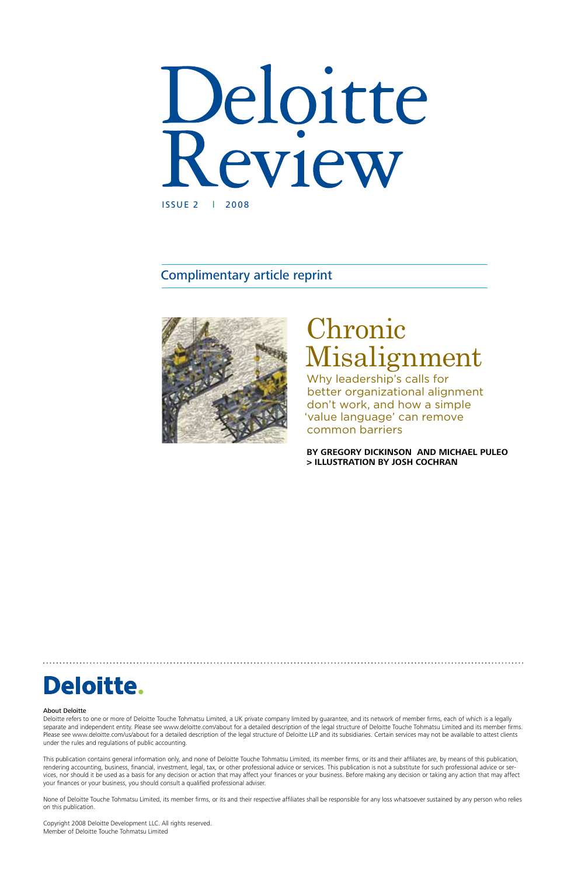

#### Complimentary article reprint



# Chronic Misalignment

Why leadership's calls for better organizational alignment don't work, and how a simple 'value language' can remove common barriers

**BY gregory dickinson AND michael puleo > ILLUSTRATION BY josh cochran**

# **Deloitte.**

#### About Deloitte

Deloitte refers to one or more of Deloitte Touche Tohmatsu Limited, a UK private company limited by guarantee, and its network of member firms, each of which is a legally separate and independent entity. Please see www.deloitte.com/about for a detailed description of the legal structure of Deloitte Touche Tohmatsu Limited and its member firms. Please see www.deloitte.com/us/about for a detailed description of the legal structure of Deloitte LLP and its subsidiaries. Certain services may not be available to attest clients under the rules and regulations of public accounting.

This publication contains general information only, and none of Deloitte Touche Tohmatsu Limited, its member firms, or its and their affiliates are, by means of this publication, rendering accounting, business, financial, investment, legal, tax, or other professional advice or services. This publication is not a substitute for such professional advice or ser vices, nor should it be used as a basis for any decision or action that may affect your finances or your business. Before making any decision or taking any action that may affect your finances or your business, you should consult a qualified professional adviser.

None of Deloitte Touche Tohmatsu Limited, its member firms, or its and their respective affiliates shall be responsible for any loss whatsoever sustained by any person who relies on this publication.

Copyright 2008 Deloitte Development LLC. All rights reserved. Member of Deloitte Touche Tohmatsu Limited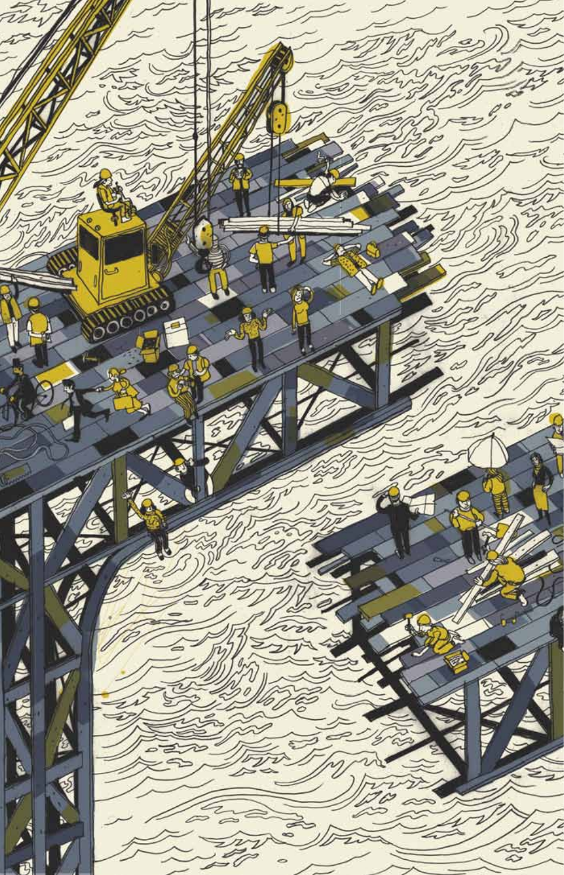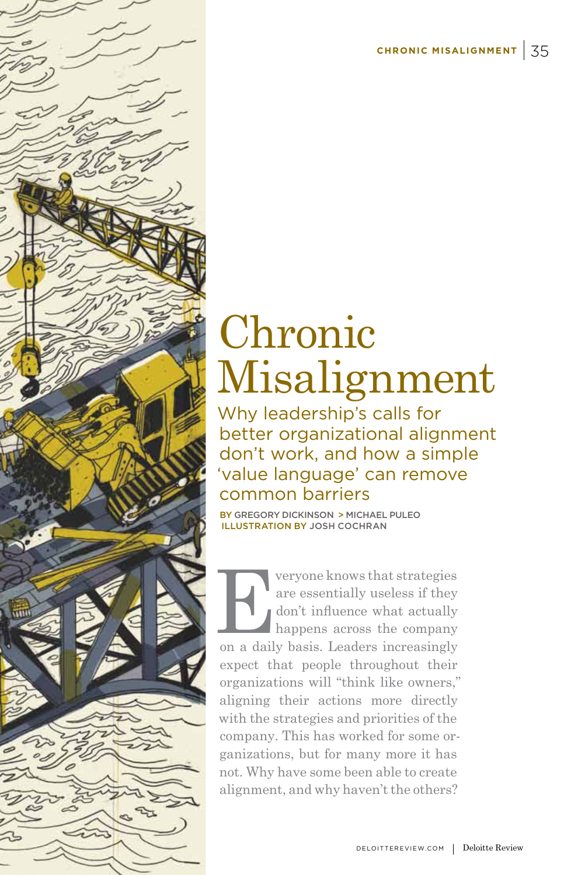# Chronic Misalignment

Why leadership's calls for better organizational alignment don't work, and how a simple 'value language' can remove common barriers

BY gregory dickinson > michael puleo ILLUSTRATION BY josh cochran

**Everyone knows that strategies**<br>
are essentially useless if they<br>
don't influence what actually<br>
happens across the company<br>
on a daily basis. Leaders increasingly are essentially useless if they don't influence what actually happens across the company expect that people throughout their organizations will "think like owners," aligning their actions more directly with the strategies and priorities of the company. This has worked for some organizations, but for many more it has not. Why have some been able to create alignment, and why haven't the others?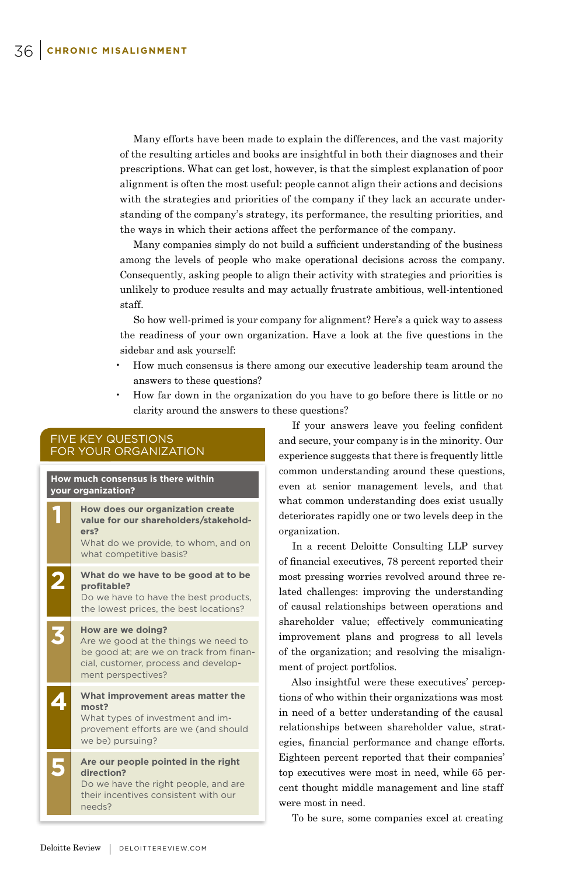Many efforts have been made to explain the differences, and the vast majority of the resulting articles and books are insightful in both their diagnoses and their prescriptions. What can get lost, however, is that the simplest explanation of poor alignment is often the most useful: people cannot align their actions and decisions with the strategies and priorities of the company if they lack an accurate understanding of the company's strategy, its performance, the resulting priorities, and the ways in which their actions affect the performance of the company.

Many companies simply do not build a sufficient understanding of the business among the levels of people who make operational decisions across the company. Consequently, asking people to align their activity with strategies and priorities is unlikely to produce results and may actually frustrate ambitious, well-intentioned staff.

So how well-primed is your company for alignment? Here's a quick way to assess the readiness of your own organization. Have a look at the five questions in the sidebar and ask yourself:

- How much consensus is there among our executive leadership team around the answers to these questions?
- How far down in the organization do you have to go before there is little or no clarity around the answers to these questions?

#### Five key questions for your Organization

#### **How much consensus is there within your organization?**

|   | <b>How does our organization create</b><br>value for our shareholders/stakehold-<br>ers?<br>What do we provide, to whom, and on<br>what competitive basis?         |
|---|--------------------------------------------------------------------------------------------------------------------------------------------------------------------|
|   | What do we have to be good at to be<br>profitable?<br>Do we have to have the best products,<br>the lowest prices, the best locations?                              |
| 3 | How are we doing?<br>Are we good at the things we need to<br>be good at; are we on track from finan-<br>cial, customer, process and develop-<br>ment perspectives? |
|   | What improvement areas matter the<br>most?<br>What types of investment and im-<br>provement efforts are we (and should<br>we be) pursuing?                         |
| E | Are our people pointed in the right<br>direction?<br>Do we have the right people, and are<br>their incentives consistent with our<br>needs?                        |

If your answers leave you feeling confident and secure, your company is in the minority. Our experience suggests that there is frequently little common understanding around these questions, even at senior management levels, and that what common understanding does exist usually deteriorates rapidly one or two levels deep in the organization.

In a recent Deloitte Consulting LLP survey of financial executives, 78 percent reported their most pressing worries revolved around three related challenges: improving the understanding of causal relationships between operations and shareholder value; effectively communicating improvement plans and progress to all levels of the organization; and resolving the misalignment of project portfolios.

Also insightful were these executives' perceptions of who within their organizations was most in need of a better understanding of the causal relationships between shareholder value, strategies, financial performance and change efforts. Eighteen percent reported that their companies' top executives were most in need, while 65 percent thought middle management and line staff were most in need.

To be sure, some companies excel at creating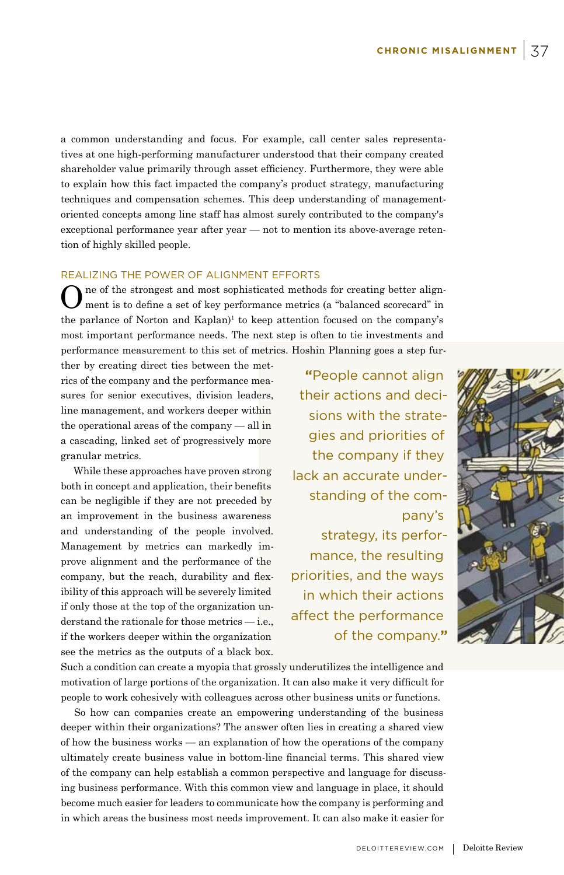a common understanding and focus. For example, call center sales representatives at one high-performing manufacturer understood that their company created shareholder value primarily through asset efficiency. Furthermore, they were able to explain how this fact impacted the company's product strategy, manufacturing techniques and compensation schemes. This deep understanding of managementoriented concepts among line staff has almost surely contributed to the company's exceptional performance year after year — not to mention its above-average retention of highly skilled people.

#### Realizing the power of alignment efforts

ne of the strongest and most sophisticated methods for creating better alignment is to define a set of key performance metrics (a "balanced scorecard" in the parlance of Norton and  $Kaplan$ <sup>1</sup> to keep attention focused on the company's most important performance needs. The next step is often to tie investments and performance measurement to this set of metrics. Hoshin Planning goes a step fur-

ther by creating direct ties between the metrics of the company and the performance measures for senior executives, division leaders, line management, and workers deeper within the operational areas of the company — all in a cascading, linked set of progressively more granular metrics.

While these approaches have proven strong both in concept and application, their benefits can be negligible if they are not preceded by an improvement in the business awareness and understanding of the people involved. Management by metrics can markedly improve alignment and the performance of the company, but the reach, durability and flexibility of this approach will be severely limited if only those at the top of the organization understand the rationale for those metrics — i.e., if the workers deeper within the organization see the metrics as the outputs of a black box.

**"**People cannot align their actions and decisions with the strategies and priorities of the company if they lack an accurate understanding of the com-

pany's strategy, its performance, the resulting priorities, and the ways in which their actions affect the performance of the company.**"**



Such a condition can create a myopia that grossly underutilizes the intelligence and motivation of large portions of the organization. It can also make it very difficult for people to work cohesively with colleagues across other business units or functions.

So how can companies create an empowering understanding of the business deeper within their organizations? The answer often lies in creating a shared view of how the business works — an explanation of how the operations of the company ultimately create business value in bottom-line financial terms. This shared view of the company can help establish a common perspective and language for discussing business performance. With this common view and language in place, it should become much easier for leaders to communicate how the company is performing and in which areas the business most needs improvement. It can also make it easier for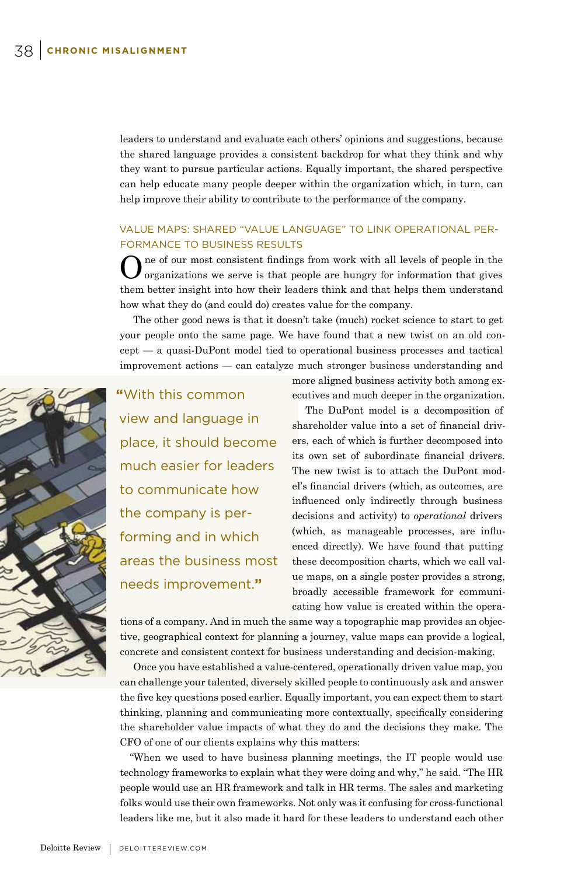leaders to understand and evaluate each others' opinions and suggestions, because the shared language provides a consistent backdrop for what they think and why they want to pursue particular actions. Equally important, the shared perspective can help educate many people deeper within the organization which, in turn, can help improve their ability to contribute to the performance of the company.

#### Value maps: Shared "value language" to link operational performance to business results

ne of our most consistent findings from work with all levels of people in the organizations we serve is that people are hungry for information that gives them better insight into how their leaders think and that helps them understand how what they do (and could do) creates value for the company.

The other good news is that it doesn't take (much) rocket science to start to get your people onto the same page. We have found that a new twist on an old concept — a quasi-DuPont model tied to operational business processes and tactical improvement actions — can catalyze much stronger business understanding and



**"**With this common view and language in place, it should become much easier for leaders to communicate how the company is performing and in which areas the business most needs improvement.**"**

more aligned business activity both among executives and much deeper in the organization.

The DuPont model is a decomposition of shareholder value into a set of financial drivers, each of which is further decomposed into its own set of subordinate financial drivers. The new twist is to attach the DuPont model's financial drivers (which, as outcomes, are influenced only indirectly through business decisions and activity) to *operational* drivers (which, as manageable processes, are influenced directly). We have found that putting these decomposition charts, which we call value maps, on a single poster provides a strong, broadly accessible framework for communicating how value is created within the opera-

tions of a company. And in much the same way a topographic map provides an objective, geographical context for planning a journey, value maps can provide a logical, concrete and consistent context for business understanding and decision-making.

Once you have established a value-centered, operationally driven value map, you can challenge your talented, diversely skilled people to continuously ask and answer the five key questions posed earlier. Equally important, you can expect them to start thinking, planning and communicating more contextually, specifically considering the shareholder value impacts of what they do and the decisions they make. The CFO of one of our clients explains why this matters:

"When we used to have business planning meetings, the IT people would use technology frameworks to explain what they were doing and why," he said. "The HR people would use an HR framework and talk in HR terms. The sales and marketing folks would use their own frameworks. Not only was it confusing for cross-functional leaders like me, but it also made it hard for these leaders to understand each other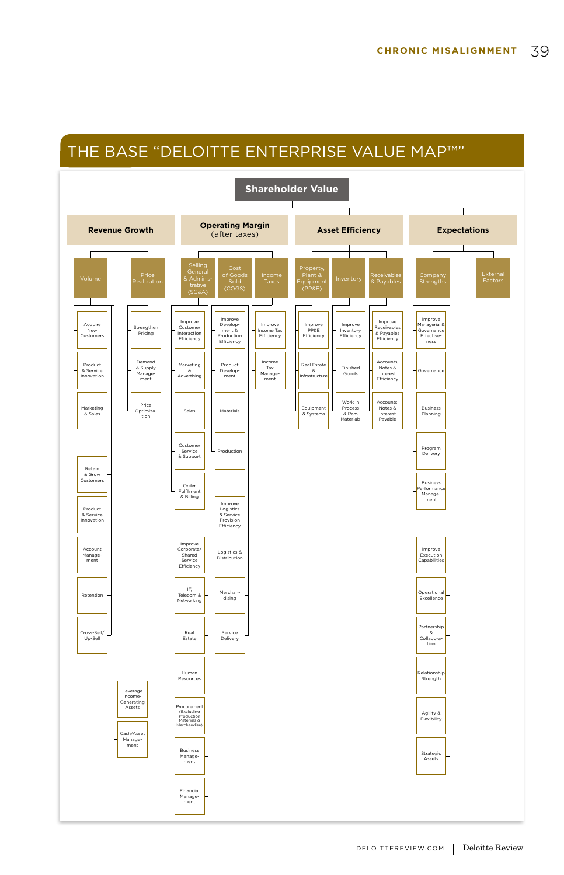## The Base "Deloitte Enterprise Value Map™"

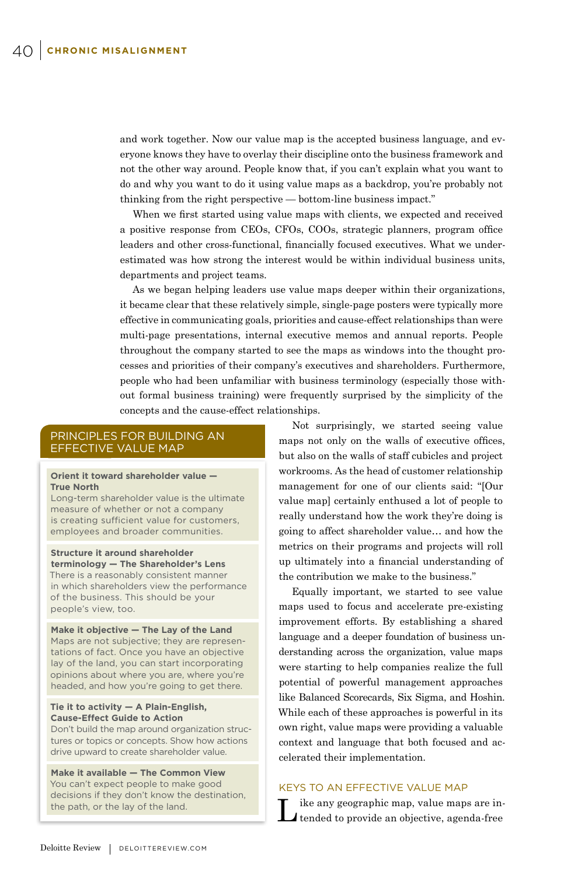and work together. Now our value map is the accepted business language, and everyone knows they have to overlay their discipline onto the business framework and not the other way around. People know that, if you can't explain what you want to do and why you want to do it using value maps as a backdrop, you're probably not thinking from the right perspective — bottom-line business impact."

When we first started using value maps with clients, we expected and received a positive response from CEOs, CFOs, COOs, strategic planners, program office leaders and other cross-functional, financially focused executives. What we underestimated was how strong the interest would be within individual business units, departments and project teams.

As we began helping leaders use value maps deeper within their organizations, it became clear that these relatively simple, single-page posters were typically more effective in communicating goals, priorities and cause-effect relationships than were multi-page presentations, internal executive memos and annual reports. People throughout the company started to see the maps as windows into the thought processes and priorities of their company's executives and shareholders. Furthermore, people who had been unfamiliar with business terminology (especially those without formal business training) were frequently surprised by the simplicity of the concepts and the cause-effect relationships.

#### Principles for building an effective value map

#### **Orient it toward shareholder value — True North**

Long-term shareholder value is the ultimate measure of whether or not a company is creating sufficient value for customers, employees and broader communities.

**Structure it around shareholder terminology — The Shareholder's Lens** There is a reasonably consistent manner in which shareholders view the performance of the business. This should be your people's view, too.

**Make it objective — The Lay of the Land** Maps are not subjective; they are representations of fact. Once you have an objective lay of the land, you can start incorporating opinions about where you are, where you're headed, and how you're going to get there.

#### **Tie it to activity — A Plain-English, Cause-Effect Guide to Action**

Don't build the map around organization structures or topics or concepts. Show how actions drive upward to create shareholder value.

**Make it available — The Common View** You can't expect people to make good decisions if they don't know the destination, the path, or the lay of the land.

Not surprisingly, we started seeing value maps not only on the walls of executive offices, but also on the walls of staff cubicles and project workrooms. As the head of customer relationship management for one of our clients said: "[Our value map] certainly enthused a lot of people to really understand how the work they're doing is going to affect shareholder value… and how the metrics on their programs and projects will roll up ultimately into a financial understanding of the contribution we make to the business."

Equally important, we started to see value maps used to focus and accelerate pre-existing improvement efforts. By establishing a shared language and a deeper foundation of business understanding across the organization, value maps were starting to help companies realize the full potential of powerful management approaches like Balanced Scorecards, Six Sigma, and Hoshin. While each of these approaches is powerful in its own right, value maps were providing a valuable context and language that both focused and accelerated their implementation.

#### Keys to an effective value map

ike any geographic map, value maps are intended to provide an objective, agenda-free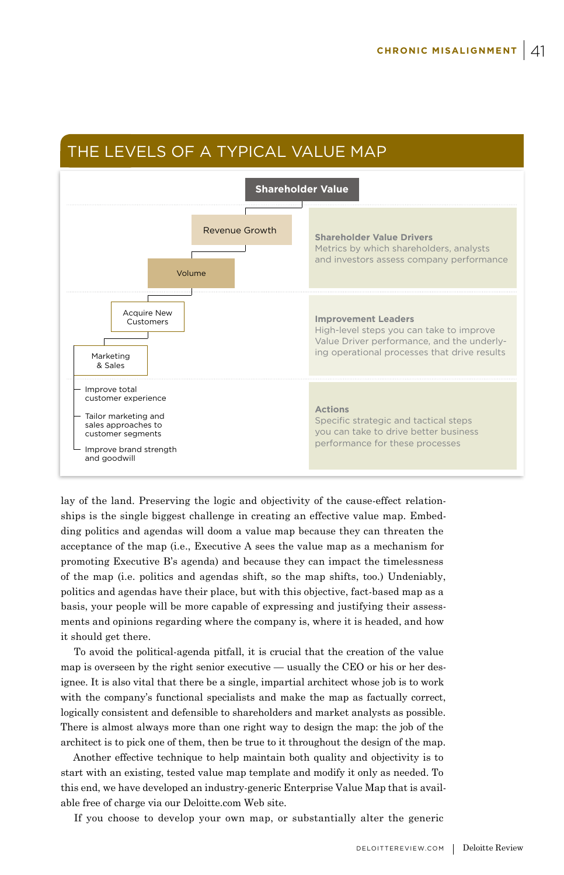## The levels of a typical value map



lay of the land. Preserving the logic and objectivity of the cause-effect relationships is the single biggest challenge in creating an effective value map. Embedding politics and agendas will doom a value map because they can threaten the acceptance of the map (i.e., Executive A sees the value map as a mechanism for promoting Executive B's agenda) and because they can impact the timelessness of the map (i.e. politics and agendas shift, so the map shifts, too.) Undeniably, politics and agendas have their place, but with this objective, fact-based map as a basis, your people will be more capable of expressing and justifying their assessments and opinions regarding where the company is, where it is headed, and how it should get there.

To avoid the political-agenda pitfall, it is crucial that the creation of the value map is overseen by the right senior executive — usually the CEO or his or her designee. It is also vital that there be a single, impartial architect whose job is to work with the company's functional specialists and make the map as factually correct, logically consistent and defensible to shareholders and market analysts as possible. There is almost always more than one right way to design the map: the job of the architect is to pick one of them, then be true to it throughout the design of the map.

Another effective technique to help maintain both quality and objectivity is to start with an existing, tested value map template and modify it only as needed. To this end, we have developed an industry-generic Enterprise Value Map that is available free of charge via our Deloitte.com Web site.

If you choose to develop your own map, or substantially alter the generic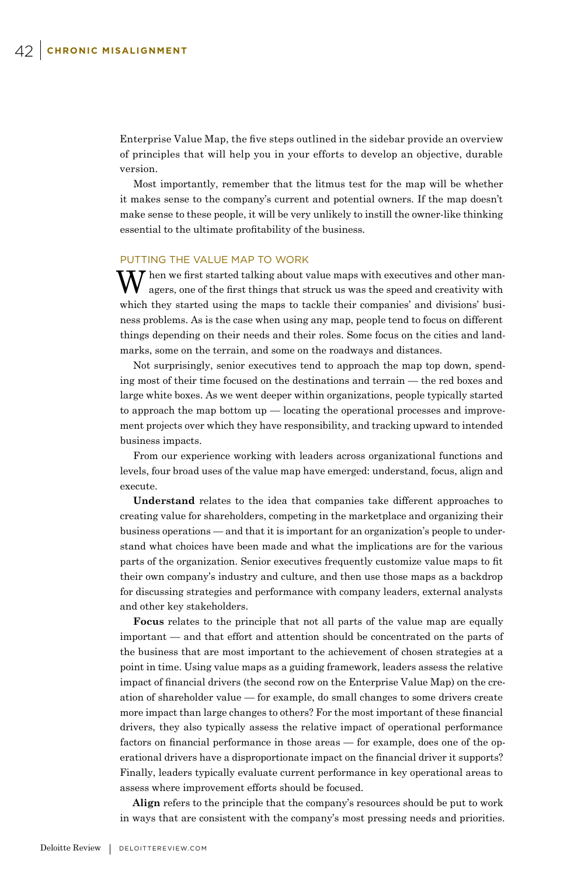Enterprise Value Map, the five steps outlined in the sidebar provide an overview of principles that will help you in your efforts to develop an objective, durable version.

Most importantly, remember that the litmus test for the map will be whether it makes sense to the company's current and potential owners. If the map doesn't make sense to these people, it will be very unlikely to instill the owner-like thinking essential to the ultimate profitability of the business.

#### Putting the value map to work

 $\mathcal{T}$  hen we first started talking about value maps with executives and other managers, one of the first things that struck us was the speed and creativity with which they started using the maps to tackle their companies' and divisions' business problems. As is the case when using any map, people tend to focus on different things depending on their needs and their roles. Some focus on the cities and landmarks, some on the terrain, and some on the roadways and distances.

Not surprisingly, senior executives tend to approach the map top down, spending most of their time focused on the destinations and terrain — the red boxes and large white boxes. As we went deeper within organizations, people typically started to approach the map bottom  $up$  — locating the operational processes and improvement projects over which they have responsibility, and tracking upward to intended business impacts.

From our experience working with leaders across organizational functions and levels, four broad uses of the value map have emerged: understand, focus, align and execute.

**Understand** relates to the idea that companies take different approaches to creating value for shareholders, competing in the marketplace and organizing their business operations — and that it is important for an organization's people to understand what choices have been made and what the implications are for the various parts of the organization. Senior executives frequently customize value maps to fit their own company's industry and culture, and then use those maps as a backdrop for discussing strategies and performance with company leaders, external analysts and other key stakeholders.

**Focus** relates to the principle that not all parts of the value map are equally important — and that effort and attention should be concentrated on the parts of the business that are most important to the achievement of chosen strategies at a point in time. Using value maps as a guiding framework, leaders assess the relative impact of financial drivers (the second row on the Enterprise Value Map) on the creation of shareholder value — for example, do small changes to some drivers create more impact than large changes to others? For the most important of these financial drivers, they also typically assess the relative impact of operational performance factors on financial performance in those areas — for example, does one of the operational drivers have a disproportionate impact on the financial driver it supports? Finally, leaders typically evaluate current performance in key operational areas to assess where improvement efforts should be focused.

**Align** refers to the principle that the company's resources should be put to work in ways that are consistent with the company's most pressing needs and priorities.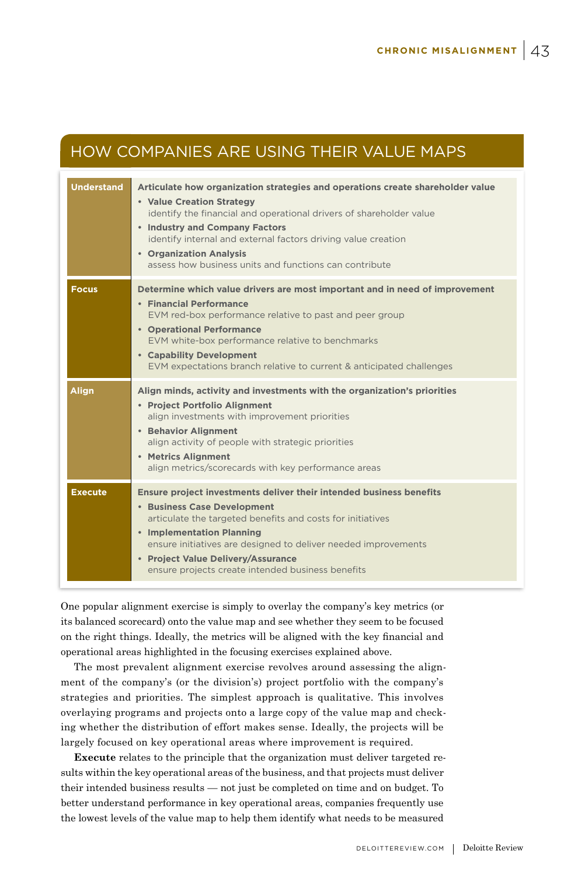### HOW COMPANIES ARE USING THEIR VALUE MAPS

| <b>Understand</b> | Articulate how organization strategies and operations create shareholder value<br>• Value Creation Strategy<br>identify the financial and operational drivers of shareholder value<br>• Industry and Company Factors<br>identify internal and external factors driving value creation<br>• Organization Analysis<br>assess how business units and functions can contribute |
|-------------------|----------------------------------------------------------------------------------------------------------------------------------------------------------------------------------------------------------------------------------------------------------------------------------------------------------------------------------------------------------------------------|
| <b>Focus</b>      | Determine which value drivers are most important and in need of improvement<br><b>• Financial Performance</b><br>EVM red-box performance relative to past and peer group<br>• Operational Performance<br>EVM white-box performance relative to benchmarks<br>• Capability Development<br>EVM expectations branch relative to current & anticipated challenges              |
| <b>Align</b>      | Align minds, activity and investments with the organization's priorities<br>• Project Portfolio Alignment<br>align investments with improvement priorities<br>• Behavior Alignment<br>align activity of people with strategic priorities<br>• Metrics Alignment<br>align metrics/scorecards with key performance areas                                                     |
| <b>Execute</b>    | Ensure project investments deliver their intended business benefits<br>• Business Case Development<br>articulate the targeted benefits and costs for initiatives<br>• Implementation Planning<br>ensure initiatives are designed to deliver needed improvements<br>• Project Value Delivery/Assurance<br>ensure projects create intended business benefits                 |

One popular alignment exercise is simply to overlay the company's key metrics (or its balanced scorecard) onto the value map and see whether they seem to be focused on the right things. Ideally, the metrics will be aligned with the key financial and operational areas highlighted in the focusing exercises explained above.

The most prevalent alignment exercise revolves around assessing the alignment of the company's (or the division's) project portfolio with the company's strategies and priorities. The simplest approach is qualitative. This involves overlaying programs and projects onto a large copy of the value map and checking whether the distribution of effort makes sense. Ideally, the projects will be largely focused on key operational areas where improvement is required.

**Execute** relates to the principle that the organization must deliver targeted results within the key operational areas of the business, and that projects must deliver their intended business results — not just be completed on time and on budget. To better understand performance in key operational areas, companies frequently use the lowest levels of the value map to help them identify what needs to be measured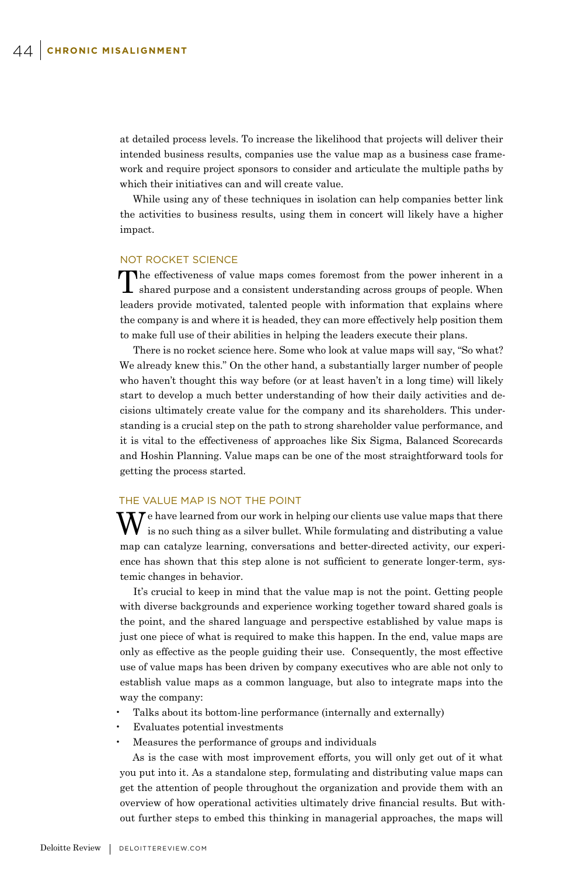at detailed process levels. To increase the likelihood that projects will deliver their intended business results, companies use the value map as a business case framework and require project sponsors to consider and articulate the multiple paths by which their initiatives can and will create value.

While using any of these techniques in isolation can help companies better link the activities to business results, using them in concert will likely have a higher impact.

#### Not rocket science

The effectiveness of value maps comes foremost from the power inherent in a shared purpose and a consistent understanding across groups of people. When leaders provide motivated, talented people with information that explains where the company is and where it is headed, they can more effectively help position them to make full use of their abilities in helping the leaders execute their plans.

There is no rocket science here. Some who look at value maps will say, "So what? We already knew this." On the other hand, a substantially larger number of people who haven't thought this way before (or at least haven't in a long time) will likely start to develop a much better understanding of how their daily activities and decisions ultimately create value for the company and its shareholders. This understanding is a crucial step on the path to strong shareholder value performance, and it is vital to the effectiveness of approaches like Six Sigma, Balanced Scorecards and Hoshin Planning. Value maps can be one of the most straightforward tools for getting the process started.

#### The value map is not the point

 $\mathbf{M}$  e have learned from our work in helping our clients use value maps that there is no such thing as a silver bullet. While formulating and distributing a value map can catalyze learning, conversations and better-directed activity, our experience has shown that this step alone is not sufficient to generate longer-term, systemic changes in behavior.

It's crucial to keep in mind that the value map is not the point. Getting people with diverse backgrounds and experience working together toward shared goals is the point, and the shared language and perspective established by value maps is just one piece of what is required to make this happen. In the end, value maps are only as effective as the people guiding their use. Consequently, the most effective use of value maps has been driven by company executives who are able not only to establish value maps as a common language, but also to integrate maps into the way the company:

- Talks about its bottom-line performance (internally and externally)
- Evaluates potential investments
- Measures the performance of groups and individuals

As is the case with most improvement efforts, you will only get out of it what you put into it. As a standalone step, formulating and distributing value maps can get the attention of people throughout the organization and provide them with an overview of how operational activities ultimately drive financial results. But without further steps to embed this thinking in managerial approaches, the maps will